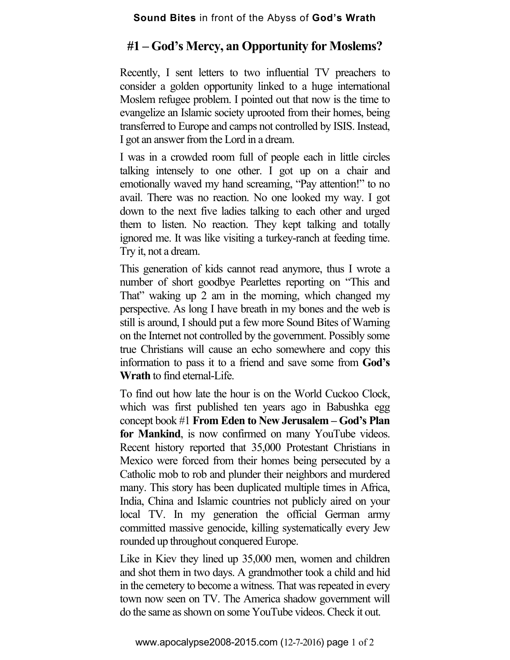## **#1 – God's Mercy, an Opportunity for Moslems?**

Recently, I sent letters to two influential TV preachers to consider a golden opportunity linked to a huge international Moslem refugee problem. I pointed out that now is the time to evangelize an Islamic society uprooted from their homes, being transferred to Europe and camps not controlled by ISIS. Instead, I got an answer from the Lord in a dream.

I was in a crowded room full of people each in little circles talking intensely to one other. I got up on a chair and emotionally waved my hand screaming, "Pay attention!" to no avail. There was no reaction. No one looked my way. I got down to the next five ladies talking to each other and urged them to listen. No reaction. They kept talking and totally ignored me. It was like visiting a turkey-ranch at feeding time. Try it, not a dream.

This generation of kids cannot read anymore, thus I wrote a number of short goodbye Pearlettes reporting on "This and That" waking up 2 am in the morning, which changed my perspective. As long I have breath in my bones and the web is still is around, I should put a few more Sound Bites of Warning on the Internet not controlled by the government. Possibly some true Christians will cause an echo somewhere and copy this information to pass it to a friend and save some from **God's Wrath** to find eternal-Life.

To find out how late the hour is on the World Cuckoo Clock, which was first published ten years ago in Babushka egg concept book #1 **From Eden to New Jerusalem – God's Plan for Mankind**, is now confirmed on many YouTube videos. Recent history reported that 35,000 Protestant Christians in Mexico were forced from their homes being persecuted by a Catholic mob to rob and plunder their neighbors and murdered many. This story has been duplicated multiple times in Africa, India, China and Islamic countries not publicly aired on your local TV. In my generation the official German army committed massive genocide, killing systematically every Jew rounded up throughout conquered Europe.

Like in Kiev they lined up 35,000 men, women and children and shot them in two days. A grandmother took a child and hid in the cemetery to become a witness. That was repeated in every town now seen on TV. The America shadow government will do the same as shown on some YouTube videos. Check it out.